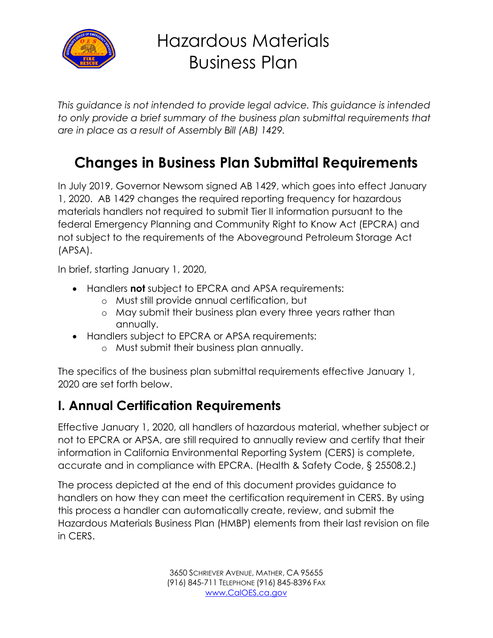

# Hazardous Materials Business Plan

*This guidance is not intended to provide legal advice. This guidance is intended*  to only provide a brief summary of the business plan submittal requirements that *are in place as a result of Assembly Bill (AB) 1429.*

### **Changes in Business Plan Submittal Requirements**

In July 2019, Governor Newsom signed AB 1429, which goes into effect January 1, 2020. AB 1429 changes the required reporting frequency for hazardous materials handlers not required to submit Tier II information pursuant to the federal Emergency Planning and Community Right to Know Act (EPCRA) and not subject to the requirements of the Aboveground Petroleum Storage Act (APSA).

In brief, starting January 1, 2020,

- Handlers **not** subject to EPCRA and APSA requirements:
	- o Must still provide annual certification, but
	- o May submit their business plan every three years rather than annually.
- Handlers subject to EPCRA or APSA requirements:
	- o Must submit their business plan annually.

The specifics of the business plan submittal requirements effective January 1, 2020 are set forth below.

#### **I. Annual Certification Requirements**

Effective January 1, 2020, all handlers of hazardous material, whether subject or not to EPCRA or APSA, are still required to annually review and certify that their information in California Environmental Reporting System (CERS) is complete, accurate and in compliance with EPCRA. (Health & Safety Code, § 25508.2.)

The process depicted at the end of this document provides guidance to handlers on how they can meet the certification requirement in CERS. By using this process a handler can automatically create, review, and submit the Hazardous Materials Business Plan (HMBP) elements from their last revision on file in CERS.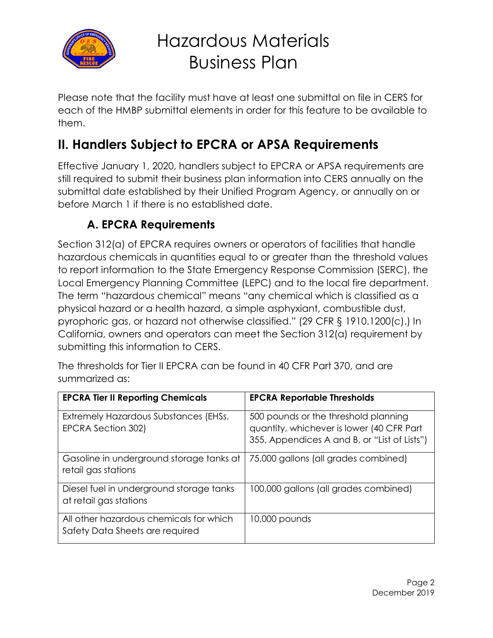

# Hazardous Materials Business Plan

Please note that the facility must have at least one submittal on file in CERS for each of the HMBP submittal elements in order for this feature to be available to them.

### **II. Handlers Subject to EPCRA or APSA Requirements**

Effective January 1, 2020, handlers subject to EPCRA or APSA requirements are still required to submit their business plan information into CERS annually on the submittal date established by their Unified Program Agency, or annually on or before March 1 if there is no established date.

#### **A. EPCRA Requirements**

Section 312(a) of EPCRA requires owners or operators of facilities that handle hazardous chemicals in quantities equal to or greater than the threshold values to report information to the State Emergency Response Commission (SERC), the Local Emergency Planning Committee (LEPC) and to the local fire department. The term "hazardous chemical" means "any chemical which is classified as a physical hazard or a health hazard, a simple asphyxiant, combustible dust, pyrophoric gas, or hazard not otherwise classified." (29 CFR § 1910.1200(c).) In California, owners and operators can meet the Section 312(a) requirement by submitting this information to CERS.

The thresholds for Tier II EPCRA can be found in 40 CFR Part 370, and are summarized as:

| <b>EPCRA Tier II Reporting Chemicals</b>                                   | <b>EPCRA Reportable Thresholds</b>                                                                                                |
|----------------------------------------------------------------------------|-----------------------------------------------------------------------------------------------------------------------------------|
| Extremely Hazardous Substances (EHSs,<br>EPCRA Section 302)                | 500 pounds or the threshold planning<br>quantity, whichever is lower (40 CFR Part<br>355, Appendices A and B, or "List of Lists") |
| Gasoline in underground storage tanks at<br>retail gas stations            | 75,000 gallons (all grades combined)                                                                                              |
| Diesel fuel in underground storage tanks<br>at retail gas stations         | 100,000 gallons (all grades combined)                                                                                             |
| All other hazardous chemicals for which<br>Safety Data Sheets are required | 10,000 pounds                                                                                                                     |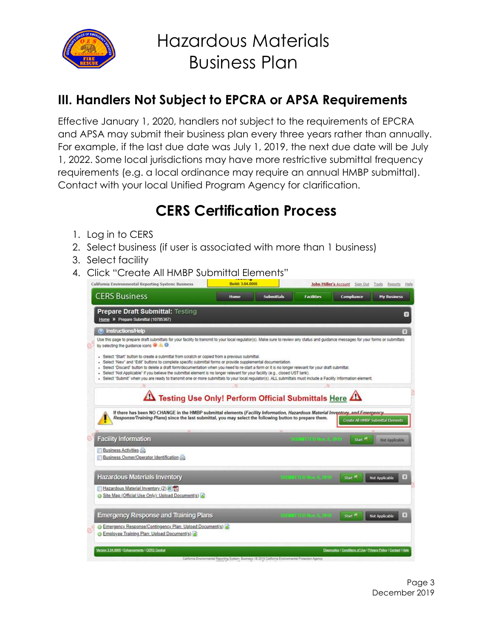

#### **III. Handlers Not Subject to EPCRA or APSA Requirements**

Effective January 1, 2020, handlers not subject to the requirements of EPCRA and APSA may submit their business plan every three years rather than annually. For example, if the last due date was July 1, 2019, the next due date will be July 1, 2022. Some local jurisdictions may have more restrictive submittal frequency requirements (e.g. a local ordinance may require an annual HMBP submittal). Contact with your local Unified Program Agency for clarification.

### **CERS Certification Process**

- 1. Log in to CERS
- 2. Select business (if user is associated with more than 1 business)
- 3. Select facility
- 4. Click "Create All HMBP Submittal Elements"